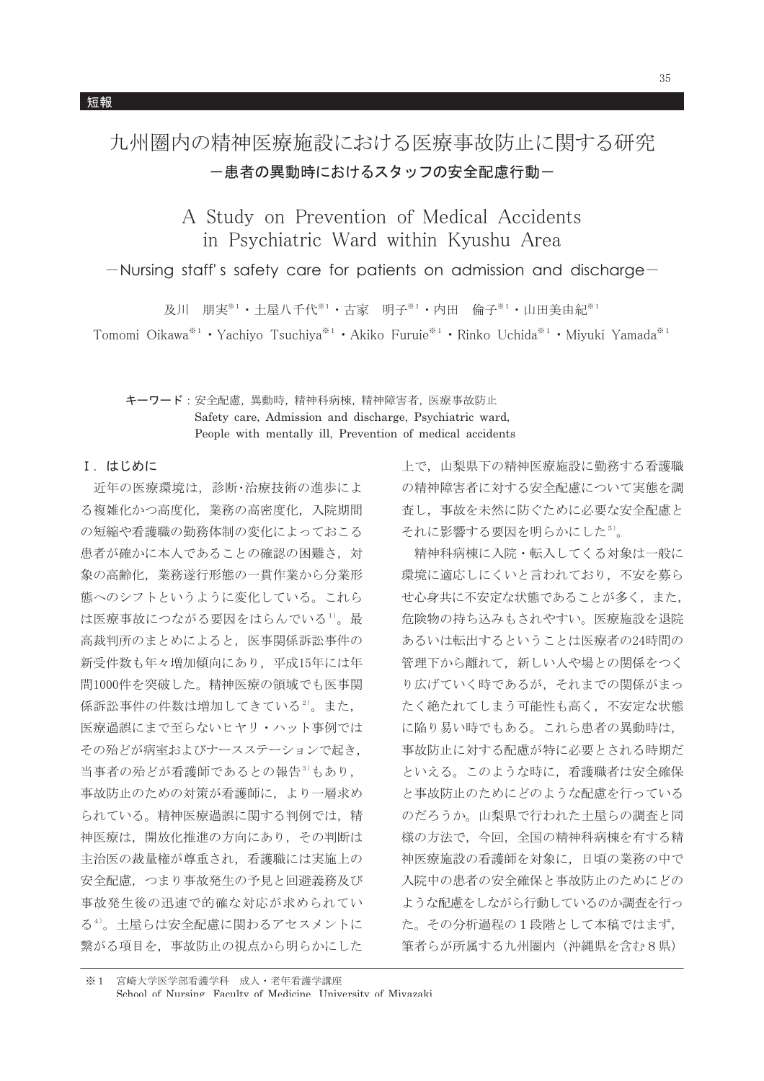# 九州圏内の精神医療施設における医療事故防止に関する研究 一患者の異動時におけるスタッフの安全配慮行動ー

# A Study on Prevention of Medical Accidents in Psychiatric Ward within Kyushu Area

-Nursing staff's safety care for patients on admission and discharge-

及川 朋実\*1 · 十屋八千代\*1 · 古家 明子\*1 · 内田 倫子\*1 · 山田美由紀\*1

Tomomi Oikawa<sup>\*\*</sup> · Yachiyo Tsuchiya<sup>\*\*</sup> · Akiko Furuie<sup>\*\*</sup> · Rinko Uchida<sup>\*\*</sup> · Miyuki Yamada<sup>\*\*</sup>

# キーワード: 安全配慮、異動時、精神科病棟、精神障害者、医療事故防止 Safety care, Admission and discharge, Psychiatric ward, People with mentally ill, Prevention of medical accidents

#### I. はじめに

近年の医療環境は、診断・治療技術の進歩によ る複雑化かつ高度化、業務の高密度化、入院期間 の短縮や看護職の勤務体制の変化によっておこる 患者が確かに本人であることの確認の困難さ、対 象の高齢化、業務遂行形態の一貫作業から分業形 態へのシフトというように変化している。これら は医療事故につながる要因をはらんでいる1)。最 高裁判所のまとめによると、医事関係訴訟事件の 新受件数も年々増加傾向にあり、平成15年には年 間1000件を突破した。精神医療の領域でも医事関 係訴訟事件の件数は増加してきている2)。また, 医療過誤にまで至らないヒヤリ・ハット事例では その殆どが病室およびナースステーションで起き, 当事者の殆どが看護師であるとの報告3)もあり, 事故防止のための対策が看護師に、より一層求め られている。精神医療過誤に関する判例では、精 神医療は、開放化推進の方向にあり、その判断は 主治医の裁量権が尊重され、看護職には実施上の 安全配慮、つまり事故発生の予見と回避義務及び 事故発生後の迅速で的確な対応が求められてい る4)。土屋らは安全配慮に関わるアセスメントに 繋がる項目を、事故防止の視点から明らかにした

上で、山梨県下の精神医療施設に勤務する看護職 の精神障害者に対する安全配慮について実態を調 査し、事故を未然に防ぐために必要な安全配慮と それに影響する要因を明らかにした5)。

精神科病棟に入院・転入してくる対象は一般に 環境に適応しにくいと言われており、不安を募ら せ心身共に不安定な状態であることが多く、また, 危険物の持ち込みもされやすい。医療施設を退院 あるいは転出するということは医療者の24時間の 管理下から離れて、新しい人や場との関係をつく り広げていく時であるが、それまでの関係がまっ たく絶たれてしまう可能性も高く、不安定な状態 に陥り易い時でもある。これら患者の異動時は, 事故防止に対する配慮が特に必要とされる時期だ といえる。このような時に、看護職者は安全確保 と事故防止のためにどのような配慮を行っている のだろうか。山梨県で行われた土屋らの調査と同 様の方法で、今回、全国の精神科病棟を有する精 神医療施設の看護師を対象に、日頃の業務の中で 入院中の患者の安全確保と事故防止のためにどの ような配慮をしながら行動しているのか調査を行っ た。その分析過程の1段階として本稿ではまず, 筆者らが所属する九州圏内 (沖縄県を含む8県)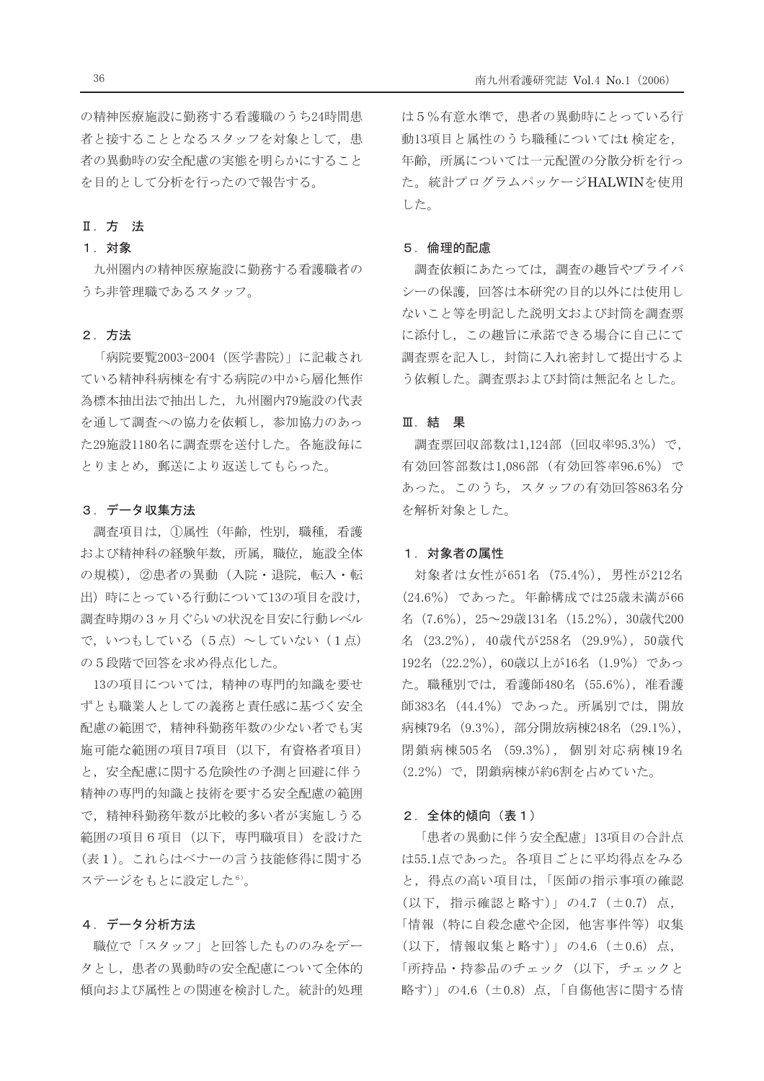の精神医療施設に勤務する看護職のうち24時間患 者と接することとなるスタッフを対象として、患 者の異動時の安全配慮の実態を明らかにすること を目的として分析を行ったので報告する。

#### Ⅱ. 方法

# 1. 対象

九州圏内の精神医療施設に勤務する看護職者の うち非管理職であるスタッフ。

## 2. 方法

「病院要覧2003-2004 (医学書院)」に記載され ている精神科病棟を有する病院の中から層化無作 為標本抽出法で抽出した、九州圏内79施設の代表 を通して調査への協力を依頼し、参加協力のあっ た29施設1180名に調査票を送付した。各施設毎に とりまとめ、郵送により返送してもらった。

#### 3.データ収集方法

調査項目は、1属性 (年齢, 性別, 職種, 看護 および精神科の経験年数、所属、職位、施設全体 の規模), 2患者の異動(入院・退院, 転入・転 出)時にとっている行動について13の項目を設け, 調査時期の3ヶ月ぐらいの状況を目安に行動レベル で、いつもしている (5点) ~していない (1点) の5段階で回答を求め得点化した。

13の項目については、精神の専門的知識を要せ ずとも職業人としての義務と責任感に基づく安全 配慮の範囲で、精神科勤務年数の少ない者でも実 施可能な範囲の項目7項目 (以下,有資格者項目) と、安全配慮に関する危険性の予測と回避に伴う 精神の専門的知識と技術を要する安全配慮の範囲 で、精神科勤務年数が比較的多い者が実施しうる 範囲の項目6項目 (以下、専門職項目)を設けた (表1)。これらはベナーの言う技能修得に関する ステージをもとに設定した6)。

## 4. データ分析方法

職位で「スタッフ」と回答したもののみをデー タとし、患者の異動時の安全配慮について全体的 傾向および属性との関連を検討した。統計的処理 は5%有意水準で、患者の異動時にとっている行 動13項目と属性のうち職種についてはt検定を, 年齢、所属については一元配置の分散分析を行っ た。統計プログラムパッケージHALWINを使用 した。

#### 5. 倫理的配慮

調査依頼にあたっては、調査の趣旨やプライバ シーの保護、回答は本研究の目的以外には使用し ないこと等を明記した説明文および封筒を調査票 に添付し、この趣旨に承諾できる場合に自己にて 調査票を記入し、封筒に入れ密封して提出するよ う依頼した。調査票および封筒は無記名とした。

#### Ⅲ. 結 果

調査票回収部数は1,124部 (回収率95.3%) で, 有効回答部数は1,086部 (有効回答率96.6%) で あった。このうち、スタッフの有効回答863名分 を解析対象とした。

#### 1. 対象者の属性

対象者は女性が651名 (75.4%), 男性が212名 (24.6%) であった。年齢構成では25歳未満が66 名 (7.6%), 25~29歳131名 (15.2%), 30歳代200 名 (23.2%), 40歳代が258名 (29.9%), 50歳代 192名 (22.2%), 60歳以上が16名 (1.9%) であっ た。職種別では、看護師480名 (55.6%), 准看護 師383名 (44.4%) であった。所属別では、開放 病棟79名 (9.3%), 部分開放病棟248名 (29.1%), 閉鎖病棟505名 (59.3%), 個別対応病棟19名 (2.2%) で、閉鎖病棟が約6割を占めていた。

#### 2. 全体的傾向 (表1)

「患者の異動に伴う安全配慮」13項目の合計点 は55.1点であった。各項目ごとに平均得点をみる と、得点の高い項目は、「医師の指示事項の確認 (以下, 指示確認と略す) | の4.7 (±0.7) 点, 「情報(特に自殺念慮や企図、他害事件等)収集 (以下, 情報収集と略す)」の4.6 (±0.6) 点, 「所持品・持参品のチェック(以下、チェックと 略す)」の4.6 (±0.8) 点,「自傷他害に関する情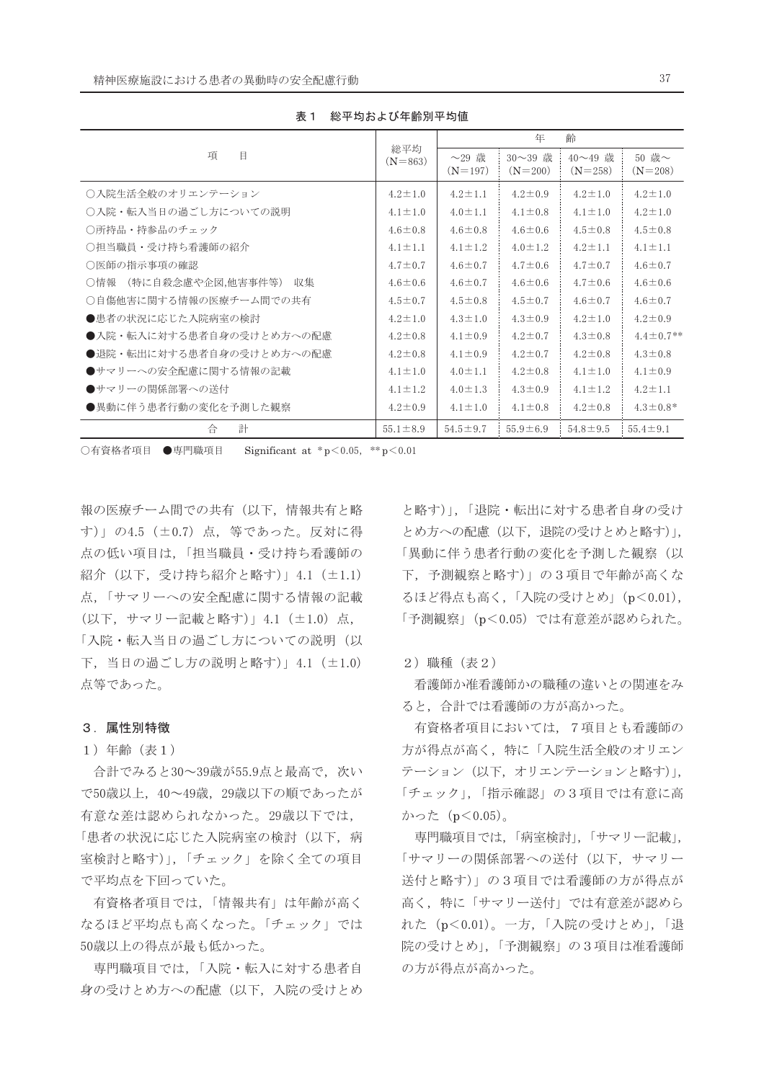| 項<br>目                         | 総平均<br>$(N=863)$ | 年<br>齢                   |                      |                      |                    |  |
|--------------------------------|------------------|--------------------------|----------------------|----------------------|--------------------|--|
|                                |                  | $\sim$ 29 歳<br>$(N=197)$ | 30~39 歳<br>$(N=200)$ | 40~49 歳<br>$(N=258)$ | 50 歳~<br>$(N=208)$ |  |
| ○入院生活全般のオリエンテーション              | $4.2 \pm 1.0$    | $4.2 \pm 1.1$            | $4.2 \pm 0.9$        | $4.2 \pm 1.0$        | $4.2 \pm 1.0$      |  |
| ○入院・転入当日の過ごし方についての説明           | $4.1 \pm 1.0$    | $4.0 \pm 1.1$            | $4.1 \pm 0.8$        | $4.1 \pm 1.0$        | $4.2 \pm 1.0$      |  |
| ○所持品・持参品のチェック                  | $4.6 \pm 0.8$    | $4.6 \pm 0.8$            | $4.6 \pm 0.6$        | $4.5 \pm 0.8$        | $4.5 \pm 0.8$      |  |
| ○担当職員・受け持ち看護師の紹介               | $4.1 \pm 1.1$    | $4.1 \pm 1.2$            | $4.0 \pm 1.2$        | $4.2 \pm 1.1$        | $4.1 \pm 1.1$      |  |
| ○医師の指示事項の確認                    | $4.7 \pm 0.7$    | $4.6 \pm 0.7$            | $4.7 \pm 0.6$        | $4.7 \pm 0.7$        | $4.6 \pm 0.7$      |  |
| ○情報<br>(特に自殺念慮や企図,他害事件等)<br>収集 | $4.6 \pm 0.6$    | $4.6 \pm 0.7$            | $4.6 \pm 0.6$        | $4.7 \pm 0.6$        | $4.6 \pm 0.6$      |  |
| ○自傷他害に関する情報の医療チーム間での共有         | $4.5 \pm 0.7$    | $4.5 \pm 0.8$            | $4.5 \pm 0.7$        | $4.6 \pm 0.7$        | $4.6 \pm 0.7$      |  |
| ●患者の状況に応じた入院病室の検討              | $4.2 \pm 1.0$    | $4.3 \pm 1.0$            | $4.3 \pm 0.9$        | $4.2 \pm 1.0$        | $4.2 \pm 0.9$      |  |
| ●入院・転入に対する患者自身の受けとめ方への配慮       | $4.2 \pm 0.8$    | $4.1 \pm 0.9$            | $4.2 \pm 0.7$        | $4.3 \pm 0.8$        | $4.4 \pm 0.7**$    |  |
| ●退院・転出に対する患者自身の受けとめ方への配慮       | $4.2 \pm 0.8$    | $4.1 \pm 0.9$            | $4.2 \pm 0.7$        | $4.2 \pm 0.8$        | $4.3 \pm 0.8$      |  |
| ●サマリーへの安全配慮に関する情報の記載           | $4.1 \pm 1.0$    | $4.0 \pm 1.1$            | $4.2 \pm 0.8$        | $4.1 \pm 1.0$        | $4.1 \pm 0.9$      |  |
| ●サマリーの関係部署への送付                 | $4.1 \pm 1.2$    | $4.0 \pm 1.3$            | $4.3 \pm 0.9$        | $4.1 \pm 1.2$        | $4.2 \pm 1.1$      |  |
| ●異動に伴う患者行動の変化を予測した観察           | $4.2 \pm 0.9$    | $4.1 \pm 1.0$            | $4.1 \pm 0.8$        | $4.2 \pm 0.8$        | $4.3 \pm 0.8*$     |  |
| 計<br>合                         | $55.1 \pm 8.9$   | $54.5 \pm 9.7$           | $55.9 \pm 6.9$       | $54.8 \pm 9.5$       | $55.4 \pm 9.1$     |  |

表1 総平均および年齢別平均値

○有資格者項目 ●専門職項目 Significant at \*p<0.05, \*\*p<0.01

報の医療チーム間での共有(以下、情報共有と略 す)」の4.5 (±0.7) 点, 等であった。反対に得 点の低い項目は、「担当職員·受け持ち看護師の 紹介 (以下, 受け持ち紹介と略す)」4.1 (±1.1) 点,「サマリーへの安全配慮に関する情報の記載 (以下, サマリー記載と略す)」4.1 (±1.0) 点, 「入院・転入当日の過ごし方についての説明(以 下、当日の過ごし方の説明と略す)」4.1 (±1.0) 点等であった。

## 3. 属性別特徴

# 1) 年齢 (表1)

合計でみると30~39歳が55.9点と最高で、次い で50歳以上, 40~49歳, 29歳以下の順であったが 有意な差は認められなかった。29歳以下では, 「患者の状況に応じた入院病室の検討(以下,病 室検討と略す)」,「チェック」を除く全ての項目 で平均点を下回っていた。

有資格者項目では、「情報共有」は年齢が高く なるほど平均点も高くなった。「チェック」では 50歳以上の得点が最も低かった。

専門職項目では、「入院·転入に対する患者自 身の受けとめ方への配慮(以下、入院の受けとめ

と略す)」,「退院・転出に対する患者自身の受け とめ方への配慮(以下、退院の受けとめと略す)」、 「異動に伴う患者行動の変化を予測した観察(以 下、予測観察と略す)」の3項目で年齢が高くな るほど得点も高く、「入院の受けとめ」 (p<0.01), 「予測観察」(p<0.05) では有意差が認められた。

#### 2) 職種 (表2)

看護師か准看護師かの職種の違いとの関連をみ ると、合計では看護師の方が高かった。

有資格者項目においては、7項目とも看護師の 方が得点が高く、特に「入院生活全般のオリエン テーション (以下、オリエンテーションと略す)」, 「チェック」,「指示確認」の3項目では有意に高 かった (p<0.05)。

専門職項目では、「病室検討」,「サマリー記載」, 「サマリーの関係部署への送付(以下、サマリー 送付と略す)」の3項目では看護師の方が得点が 高く、特に「サマリー送付」では有意差が認めら れた (p<0.01)。一方, 「入院の受けとめ」, 「退 院の受けとめ」、「予測観察」の3項目は准看護師 の方が得点が高かった。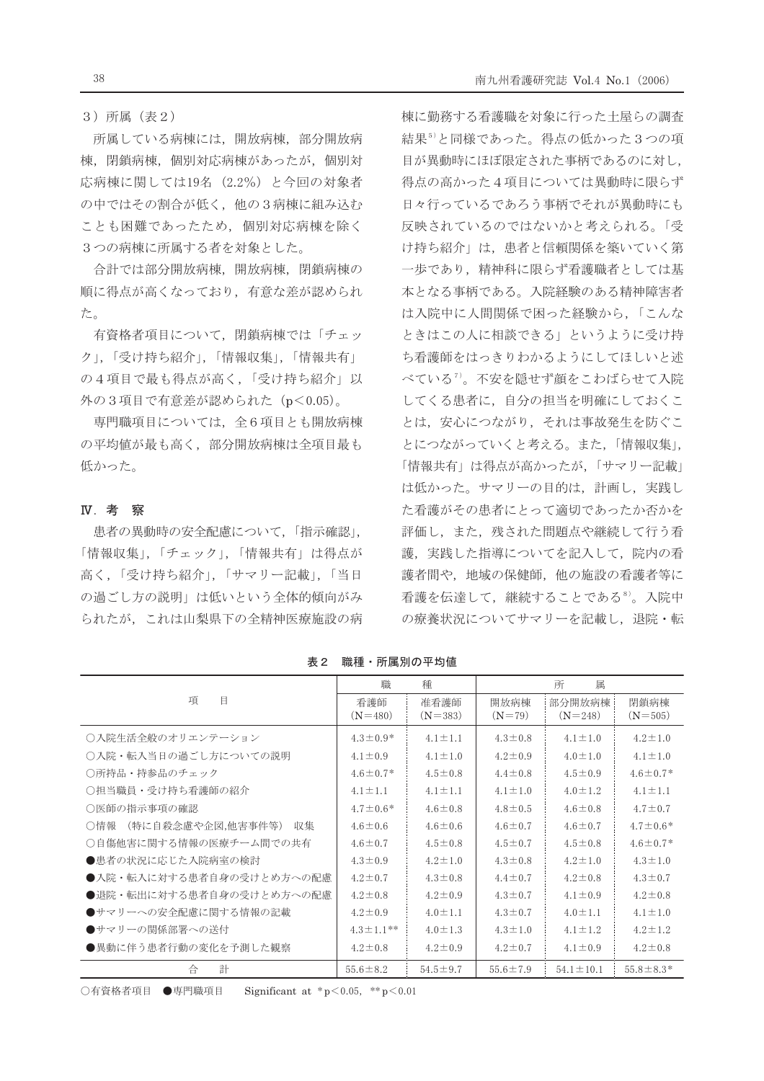所属している病棟には、開放病棟、部分開放病 棟、閉鎖病棟、個別対応病棟があったが、個別対 応病棟に関しては19名 (2.2%) と今回の対象者 の中ではその割合が低く、他の3病棟に組み込む ことも困難であったため、個別対応病棟を除く 3つの病棟に所属する者を対象とした。

合計では部分開放病棟、開放病棟、閉鎖病棟の 順に得点が高くなっており、有意な差が認められ た。

有資格者項目について、閉鎖病棟では「チェッ ク」、「受け持ち紹介」、「情報収集」、「情報共有」 の4項目で最も得点が高く、「受け持ち紹介」以 外の3項目で有意差が認められた (p<0.05)。

専門職項目については、全6項目とも開放病棟 の平均値が最も高く、部分開放病棟は全項目最も 低かった。

## **IV**. 考察

患者の異動時の安全配慮について、「指示確認」、 「情報収集」,「チェック」,「情報共有」は得点が 高く、「受け持ち紹介」、「サマリー記載」、「当日 の過ごし方の説明」は低いという全体的傾向がみ られたが、これは山梨県下の全精神医療施設の病

棟に勤務する看護職を対象に行った土屋らの調査 結果<sup>5</sup>と同様であった。得点の低かった3つの項 目が異動時にほぼ限定された事柄であるのに対し, 得点の高かった4項目については異動時に限らず 日々行っているであろう事柄でそれが異動時にも 反映されているのではないかと考えられる。「受 け持ち紹介」は、患者と信頼関係を築いていく第 一歩であり、精神科に限らず看護職者としては基 本となる事柄である。入院経験のある精神障害者 は入院中に人間関係で困った経験から、「こんな ときはこの人に相談できる」というように受け持 ち看護師をはっきりわかるようにしてほしいと述 べている<sup>7)</sup>。不安を隠せず顔をこわばらせて入院 してくる患者に、自分の担当を明確にしておくこ とは、安心につながり、それは事故発生を防ぐこ とにつながっていくと考える。また、「情報収集」, 「情報共有」は得点が高かったが、「サマリー記載」 は低かった。サマリーの目的は、計画し、実践し た看護がその患者にとって適切であったか否かを 評価し、また、残された問題点や継続して行う看 護,実践した指導についてを記入して、院内の看 護者間や、地域の保健師、他の施設の看護者等に 看護を伝達して、継続することである<sup>8)</sup>。入院中 の療養状況についてサマリーを記載し、退院·転

|                                | 種<br>職           |                | 所<br>属         |                 |                 |  |
|--------------------------------|------------------|----------------|----------------|-----------------|-----------------|--|
| 項<br>E                         | 看護師              | 准看護師           | 開放病棟           | 部分開放病棟!         | 閉鎖病棟            |  |
|                                | $(N=480)$        | $(N=383)$      | $(N=79)$       | $(N=248)$       | $(N = 505)$     |  |
| ○入院生活全般のオリエンテーション              | $4.3 \pm 0.9*$   | $4.1 \pm 1.1$  | $4.3 \pm 0.8$  | $4.1 \pm 1.0$   | $4.2 \pm 1.0$   |  |
| ○入院・転入当日の過ごし方についての説明           | $4.1 \pm 0.9$    | $4.1 \pm 1.0$  | $4.2 \pm 0.9$  | $4.0 \pm 1.0$   | $4.1 \pm 1.0$   |  |
| ○所持品・持参品のチェック                  | $4.6 \pm 0.7*$   | $4.5 \pm 0.8$  | $4.4 \pm 0.8$  | $4.5 \pm 0.9$   | $4.6 \pm 0.7*$  |  |
| ○担当職員・受け持ち看護師の紹介               | $4.1 \pm 1.1$    | $4.1 \pm 1.1$  | $4.1 \pm 1.0$  | $4.0 \pm 1.2$   | $4.1 \pm 1.1$   |  |
| ○医師の指示事項の確認                    | $4.7 \pm 0.6*$   | $4.6 \pm 0.8$  | $4.8 \pm 0.5$  | $4.6 \pm 0.8$   | $4.7 \pm 0.7$   |  |
| ○情報<br>(特に自殺念慮や企図,他害事件等)<br>収集 | $4.6 \pm 0.6$    | $4.6 \pm 0.6$  | $4.6 \pm 0.7$  | $4.6 \pm 0.7$   | $4.7 \pm 0.6*$  |  |
| ○自傷他害に関する情報の医療チーム間での共有         | $4.6 \pm 0.7$    | $4.5 \pm 0.8$  | $4.5 \pm 0.7$  | $4.5 \pm 0.8$   | $4.6 \pm 0.7*$  |  |
| ●患者の状況に応じた入院病室の検討              | $4.3 \pm 0.9$    | $4.2 \pm 1.0$  | $4.3 \pm 0.8$  | $4.2 \pm 1.0$   | $4.3 \pm 1.0$   |  |
| ●入院・転入に対する患者自身の受けとめ方への配慮       | $4.2 \pm 0.7$    | $4.3 \pm 0.8$  | $4.4 \pm 0.7$  | $4.2 \pm 0.8$   | $4.3 \pm 0.7$   |  |
| ●退院・転出に対する患者自身の受けとめ方への配慮       | $4.2 \pm 0.8$    | $4.2 \pm 0.9$  | $4.3 \pm 0.7$  | $4.1 \pm 0.9$   | $4.2 \pm 0.8$   |  |
| ●サマリーへの安全配慮に関する情報の記載           | $4.2 \pm 0.9$    | $4.0 \pm 1.1$  | $4.3 \pm 0.7$  | $4.0 \pm 1.1$   | $4.1 \pm 1.0$   |  |
| ●サマリーの関係部署への送付                 | $4.3 \pm 1.1$ ** | $4.0 \pm 1.3$  | $4.3 \pm 1.0$  | $4.1 \pm 1.2$   | $4.2 \pm 1.2$   |  |
| ●異動に伴う患者行動の変化を予測した観察           | $4.2 \pm 0.8$    | $4.2 \pm 0.9$  | $4.2 \pm 0.7$  | $4.1 \pm 0.9$   | $4.2 \pm 0.8$   |  |
| 計<br>合                         | $55.6 \pm 8.2$   | $54.5 \pm 9.7$ | $55.6 \pm 7.9$ | $54.1 \pm 10.1$ | $55.8 \pm 8.3*$ |  |

表2 職種・所属別の平均値

○有資格者項目 ●専門職項目 Significant at \*p<0.05, \*\*p<0.01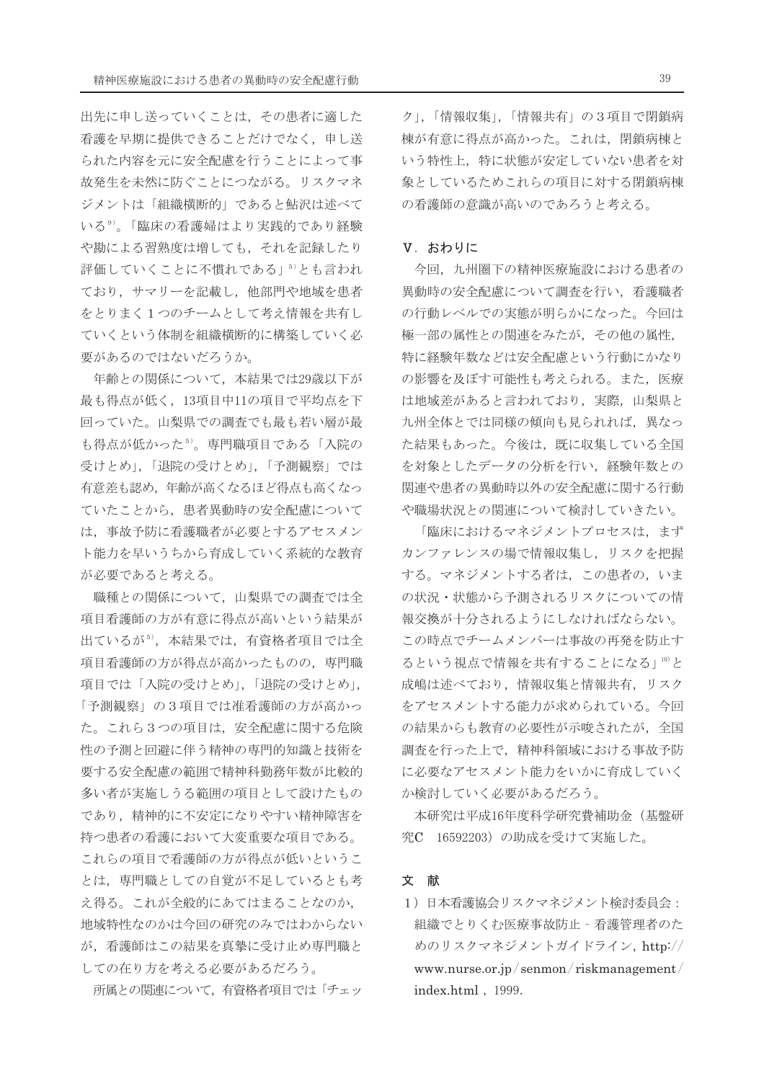出先に申し送っていくことは、その患者に適した 看護を早期に提供できることだけでなく、申し送 られた内容を元に安全配慮を行うことによって事 故発生を未然に防ぐことにつながる。リスクマネ ジメントは「組織横断的」であると鮎沢は述べて いる<sup>9)</sup>。「臨床の看護婦はより実践的であり経験 や勘による習熟度は増しても、それを記録したり 評価していくことに不慣れである」5)とも言われ ており、サマリーを記載し、他部門や地域を患者 をとりまく1つのチームとして考え情報を共有し ていくという体制を組織構断的に構築していく必 要があるのではないだろうか。

年齢との関係について、本結果では29歳以下が 最も得点が低く、13項目中11の項目で平均点を下 回っていた。山梨県での調査でも最も若い層が最 も得点が低かった5)。専門職項目である「入院の 受けとめ」,「退院の受けとめ」,「予測観察」では 有意差も認め、年齢が高くなるほど得点も高くなっ ていたことから、患者異動時の安全配慮について は、事故予防に看護職者が必要とするアセスメン ト能力を早いうちから育成していく系統的な教育 が必要であると考える。

職種との関係について、山梨県での調査では全 項目看護師の方が有意に得点が高いという結果が 出ているが5)、本結果では、有資格者項目では全 項目看護師の方が得点が高かったものの、専門職 項目では「入院の受けとめ」,「退院の受けとめ」, 「予測観察」の3項目では准看護師の方が高かっ た。これら3つの項目は、安全配慮に関する危険 性の予測と回避に伴う精神の専門的知識と技術を 要する安全配慮の範囲で精神科勤務年数が比較的 多い者が実施しうる範囲の項目として設けたもの であり、精神的に不安定になりやすい精神障害を 持つ患者の看護において大変重要な項目である。 これらの項目で看護師の方が得点が低いというこ とは、専門職としての自覚が不足しているとも考 え得る。これが全般的にあてはまることなのか、 地域特性なのかは今回の研究のみではわからない が、看護師はこの結果を真摯に受け止め専門職と しての在り方を考える必要があるだろう。

所属との関連について、有資格者項目では「チェッ

ク」,「情報収集」,「情報共有」の3項目で閉鎖病 棟が有意に得点が高かった。これは、閉鎖病棟と いう特性上、特に状態が安定していない患者を対 象としているためこれらの項目に対する閉鎖病棟 の看護師の意識が高いのであろうと考える。

#### V. おわりに

今回、九州圏下の精神医療施設における患者の 異動時の安全配慮について調査を行い、看護職者 の行動レベルでの実態が明らかになった。今回は 極一部の属性との関連をみたが、その他の属性, 特に経験年数などは安全配慮という行動にかなり の影響を及ぼす可能性も考えられる。また、医療 は地域差があると言われており、実際、山梨県と 九州全体とでは同様の傾向も見られれば、異なっ た結果もあった。今後は、既に収集している全国 を対象としたデータの分析を行い、経験年数との 関連や患者の異動時以外の安全配慮に関する行動 や職場状況との関連について検討していきたい。

「臨床におけるマネジメントプロセスは、まず カンファレンスの場で情報収集し、リスクを把握 する。マネジメントする者は、この患者の、いま の状況・状態から予測されるリスクについての情 報交換が十分されるようにしなければならない。 この時点でチームメンバーは事故の再発を防止す るという視点で情報を共有することになる」10)と 成嶋は述べており、情報収集と情報共有、リスク をアセスメントする能力が求められている。今回 の結果からも教育の必要性が示唆されたが、全国 調査を行った上で、精神科領域における事故予防 に必要なアセスメント能力をいかに育成していく か検討していく必要があるだろう。

本研究は平成16年度科学研究費補助金(基盤研 究C 16592203) の助成を受けて実施した。

## 文 献

1) 日本看護協会リスクマネジメント検討委員会: 組織でとりくむ医療事故防止 - 看護管理者のた めのリスクマネジメントガイドライン, http:// www.nurse.or.jp/senmon/riskmanagement/ index.html . 1999.